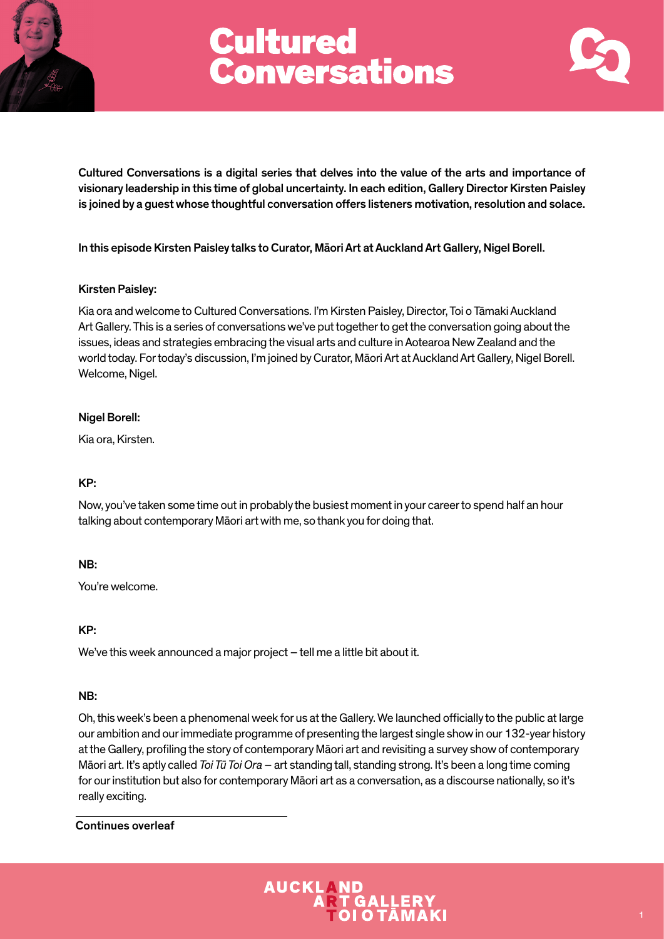



Cultured Conversations is a digital series that delves into the value of the arts and importance of visionary leadership in this time of global uncertainty. In each edition, Gallery Director Kirsten Paisley is joined by a guest whose thoughtful conversation offers listeners motivation, resolution and solace.

In this episode Kirsten Paisley talks to Curator, Māori Art at Auckland Art Gallery, Nigel Borell.

## Kirsten Paisley:

Kia ora and welcome to Cultured Conversations. I'm Kirsten Paisley, Director, Toi o Tāmaki Auckland Art Gallery. This is a series of conversations we've put together to get the conversation going about the issues, ideas and strategies embracing the visual arts and culture in Aotearoa New Zealand and the world today. For today's discussion, I'm joined by Curator, Māori Art at Auckland Art Gallery, Nigel Borell. Welcome, Nigel.

## Nigel Borell:

Kia ora, Kirsten.

## KP:

Now, you've taken some time out in probably the busiest moment in your career to spend half an hour talking about contemporary Māori art with me, so thank you for doing that.

## NB:

You're welcome.

## KP:

We've this week announced a major project – tell me a little bit about it.

## NB:

Oh, this week's been a phenomenal week for us at the Gallery. We launched officially to the public at large our ambition and our immediate programme of presenting the largest single show in our 132-year history at the Gallery, profiling the story of contemporary Māori art and revisiting a survey show of contemporary Māori art. It's aptly called *Toi Tū Toi Ora* – art standing tall, standing strong. It's been a long time coming for our institution but also for contemporary Māori art as a conversation, as a discourse nationally, so it's really exciting.

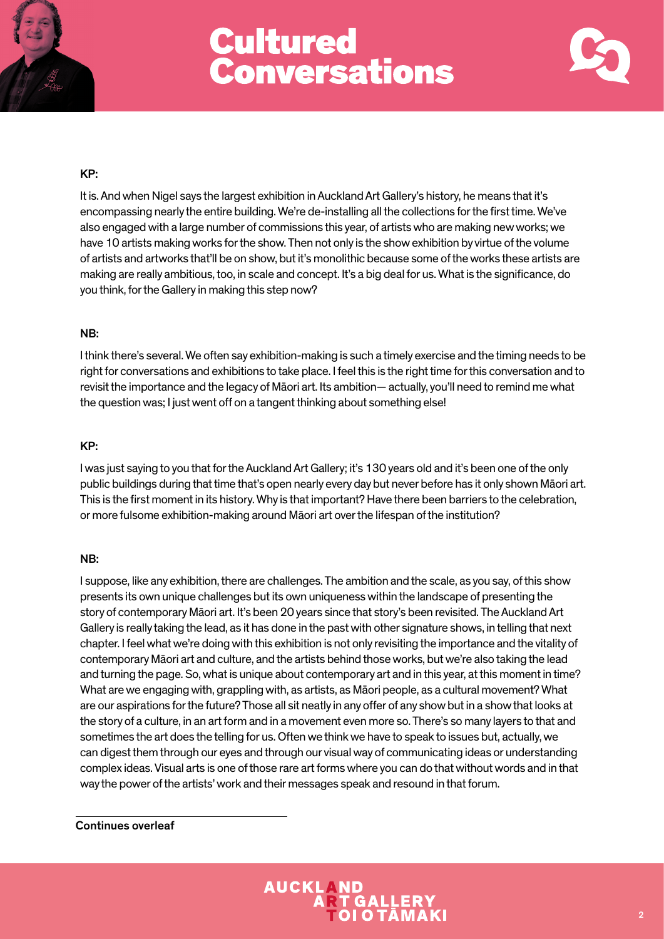



## KP:

It is. And when Nigel says the largest exhibition in Auckland Art Gallery's history, he means that it's encompassing nearly the entire building. We're de-installing all the collections for the first time. We've also engaged with a large number of commissions this year, of artists who are making new works; we have 10 artists making works for the show. Then not only is the show exhibition by virtue of the volume of artists and artworks that'll be on show, but it's monolithic because some of the works these artists are making are really ambitious, too, in scale and concept. It's a big deal for us. What is the significance, do you think, for the Gallery in making this step now?

## NB:

I think there's several. We often say exhibition-making is such a timely exercise and the timing needs to be right for conversations and exhibitions to take place. I feel this is the right time for this conversation and to revisit the importance and the legacy of Māori art. Its ambition— actually, you'll need to remind me what the question was; I just went off on a tangent thinking about something else!

### KP:

I was just saying to you that for the Auckland Art Gallery; it's 130 years old and it's been one of the only public buildings during that time that's open nearly every day but never before has it only shown Māori art. This is the first moment in its history. Why is that important? Have there been barriers to the celebration, or more fulsome exhibition-making around Māori art over the lifespan of the institution?

#### NB:

I suppose, like any exhibition, there are challenges. The ambition and the scale, as you say, of this show presents its own unique challenges but its own uniqueness within the landscape of presenting the story of contemporary Māori art. It's been 20 years since that story's been revisited. The Auckland Art Gallery is really taking the lead, as it has done in the past with other signature shows, in telling that next chapter. I feel what we're doing with this exhibition is not only revisiting the importance and the vitality of contemporary Māori art and culture, and the artists behind those works, but we're also taking the lead and turning the page. So, what is unique about contemporary art and in this year, at this moment in time? What are we engaging with, grappling with, as artists, as Māori people, as a cultural movement? What are our aspirations for the future? Those all sit neatly in any offer of any show but in a show that looks at the story of a culture, in an art form and in a movement even more so. There's so many layers to that and sometimes the art does the telling for us. Often we think we have to speak to issues but, actually, we can digest them through our eyes and through our visual way of communicating ideas or understanding complex ideas. Visual arts is one of those rare art forms where you can do that without words and in that way the power of the artists' work and their messages speak and resound in that forum.

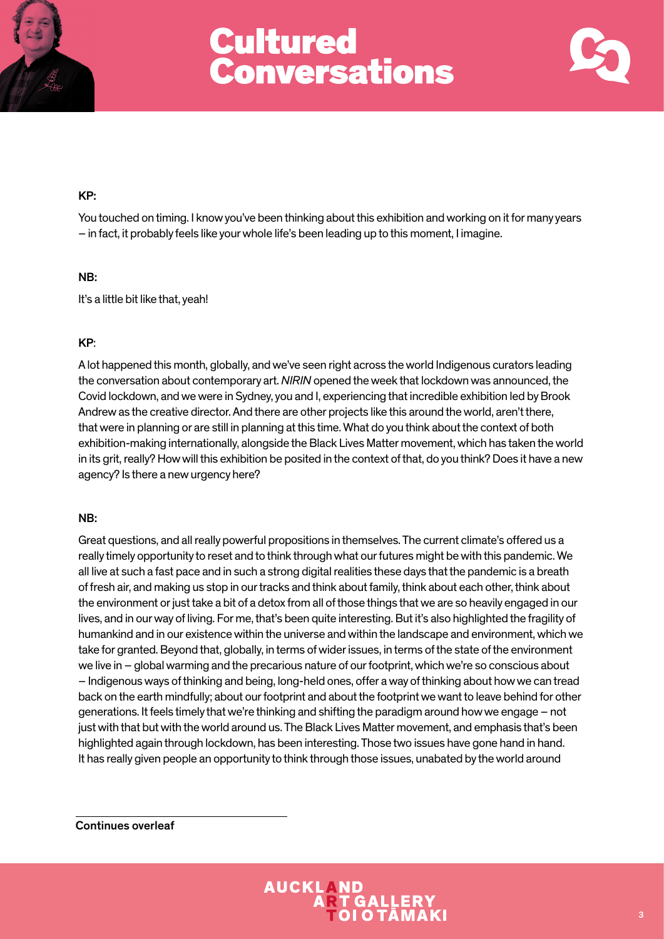



## KP:

You touched on timing. I know you've been thinking about this exhibition and working on it for many years – in fact, it probably feels like your whole life's been leading up to this moment, I imagine.

## NB:

It's a little bit like that, yeah!

## KP:

A lot happened this month, globally, and we've seen right across the world Indigenous curators leading the conversation about contemporary art. *NIRIN* opened the week that lockdown was announced, the Covid lockdown, and we were in Sydney, you and I, experiencing that incredible exhibition led by Brook Andrew as the creative director. And there are other projects like this around the world, aren't there, that were in planning or are still in planning at this time. What do you think about the context of both exhibition-making internationally, alongside the Black Lives Matter movement, which has taken the world in its grit, really? How will this exhibition be posited in the context of that, do you think? Does it have a new agency? Is there a new urgency here?

## NB:

Great questions, and all really powerful propositions in themselves. The current climate's offered us a really timely opportunity to reset and to think through what our futures might be with this pandemic. We all live at such a fast pace and in such a strong digital realities these days that the pandemic is a breath of fresh air, and making us stop in our tracks and think about family, think about each other, think about the environment or just take a bit of a detox from all of those things that we are so heavily engaged in our lives, and in our way of living. For me, that's been quite interesting. But it's also highlighted the fragility of humankind and in our existence within the universe and within the landscape and environment, which we take for granted. Beyond that, globally, in terms of wider issues, in terms of the state of the environment we live in – global warming and the precarious nature of our footprint, which we're so conscious about – Indigenous ways of thinking and being, long-held ones, offer a way of thinking about how we can tread back on the earth mindfully; about our footprint and about the footprint we want to leave behind for other generations. It feels timely that we're thinking and shifting the paradigm around how we engage – not just with that but with the world around us. The Black Lives Matter movement, and emphasis that's been highlighted again through lockdown, has been interesting. Those two issues have gone hand in hand. It has really given people an opportunity to think through those issues, unabated by the world around

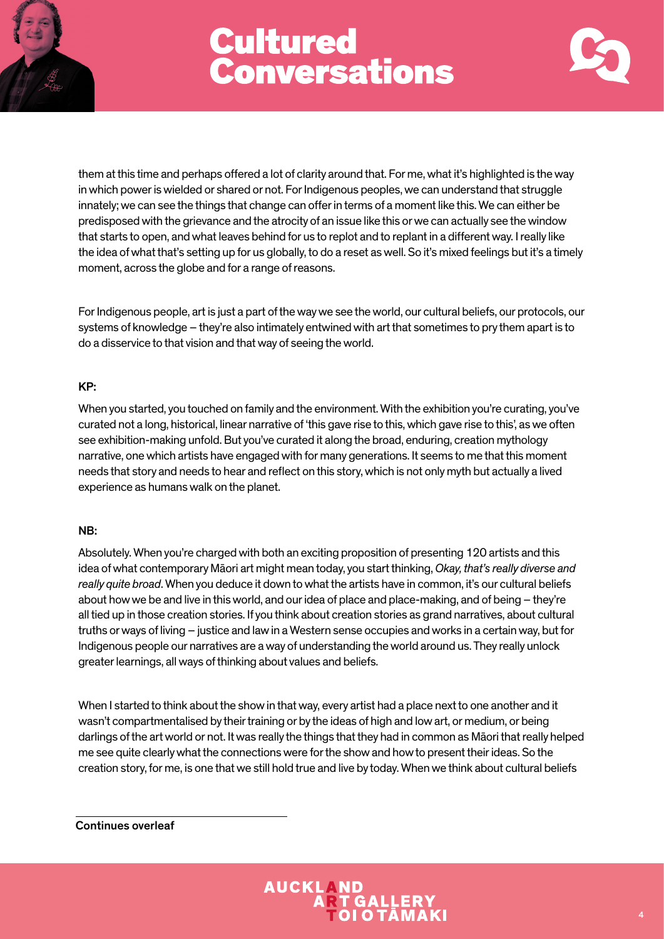



them at this time and perhaps offered a lot of clarity around that. For me, what it's highlighted is the way in which power is wielded or shared or not. For Indigenous peoples, we can understand that struggle innately; we can see the things that change can offer in terms of a moment like this. We can either be predisposed with the grievance and the atrocity of an issue like this or we can actually see the window that starts to open, and what leaves behind for us to replot and to replant in a different way. I really like the idea of what that's setting up for us globally, to do a reset as well. So it's mixed feelings but it's a timely moment, across the globe and for a range of reasons.

For Indigenous people, art is just a part of the way we see the world, our cultural beliefs, our protocols, our systems of knowledge – they're also intimately entwined with art that sometimes to pry them apart is to do a disservice to that vision and that way of seeing the world.

#### KP:

When you started, you touched on family and the environment. With the exhibition you're curating, you've curated not a long, historical, linear narrative of 'this gave rise to this, which gave rise to this', as we often see exhibition-making unfold. But you've curated it along the broad, enduring, creation mythology narrative, one which artists have engaged with for many generations. It seems to me that this moment needs that story and needs to hear and reflect on this story, which is not only myth but actually a lived experience as humans walk on the planet.

#### NB:

Absolutely. When you're charged with both an exciting proposition of presenting 120 artists and this idea of what contemporary Māori art might mean today, you start thinking, *Okay, that's really diverse and really quite broad*. When you deduce it down to what the artists have in common, it's our cultural beliefs about how we be and live in this world, and our idea of place and place-making, and of being – they're all tied up in those creation stories. If you think about creation stories as grand narratives, about cultural truths or ways of living – justice and law in a Western sense occupies and works in a certain way, but for Indigenous people our narratives are a way of understanding the world around us. They really unlock greater learnings, all ways of thinking about values and beliefs.

When I started to think about the show in that way, every artist had a place next to one another and it wasn't compartmentalised by their training or by the ideas of high and low art, or medium, or being darlings of the art world or not. It was really the things that they had in common as Māori that really helped me see quite clearly what the connections were for the show and how to present their ideas. So the creation story, for me, is one that we still hold true and live by today. When we think about cultural beliefs

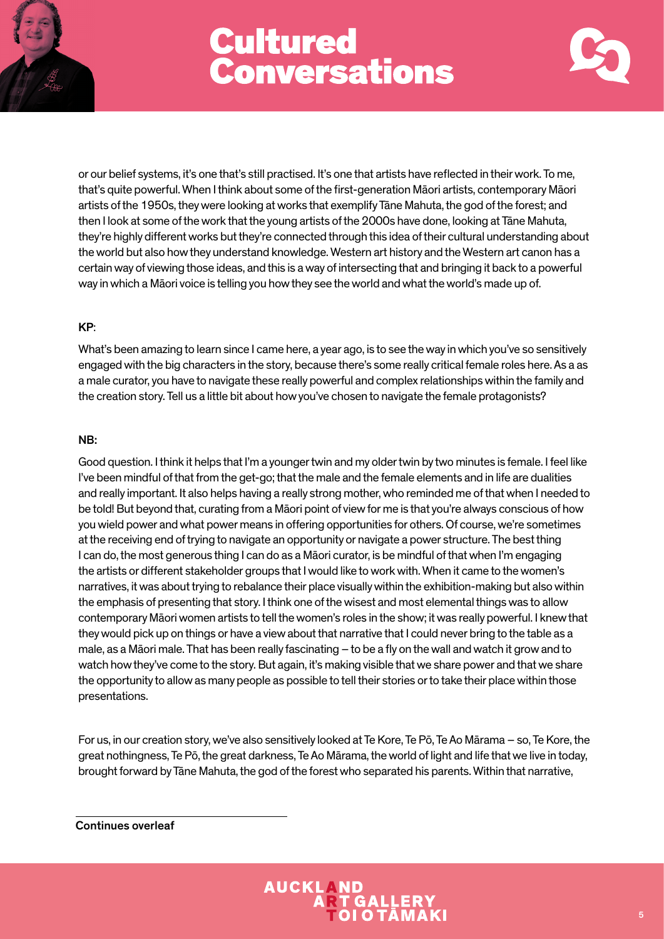



or our belief systems, it's one that's still practised. It's one that artists have reflected in their work. To me, that's quite powerful. When I think about some of the first-generation Māori artists, contemporary Māori artists of the 1950s, they were looking at works that exemplify Tāne Mahuta, the god of the forest; and then I look at some of the work that the young artists of the 2000s have done, looking at Tāne Mahuta, they're highly different works but they're connected through this idea of their cultural understanding about the world but also how they understand knowledge. Western art history and the Western art canon has a certain way of viewing those ideas, and this is a way of intersecting that and bringing it back to a powerful way in which a Māori voice is telling you how they see the world and what the world's made up of.

## KP:

What's been amazing to learn since I came here, a year ago, is to see the way in which you've so sensitively engaged with the big characters in the story, because there's some really critical female roles here. As a as a male curator, you have to navigate these really powerful and complex relationships within the family and the creation story. Tell us a little bit about how you've chosen to navigate the female protagonists?

## NB:

Good question. I think it helps that I'm a younger twin and my older twin by two minutes is female. I feel like I've been mindful of that from the get-go; that the male and the female elements and in life are dualities and really important. It also helps having a really strong mother, who reminded me of that when I needed to be told! But beyond that, curating from a Māori point of view for me is that you're always conscious of how you wield power and what power means in offering opportunities for others. Of course, we're sometimes at the receiving end of trying to navigate an opportunity or navigate a power structure. The best thing I can do, the most generous thing I can do as a Māori curator, is be mindful of that when I'm engaging the artists or different stakeholder groups that I would like to work with. When it came to the women's narratives, it was about trying to rebalance their place visually within the exhibition-making but also within the emphasis of presenting that story. I think one of the wisest and most elemental things was to allow contemporary Māori women artists to tell the women's roles in the show; it was really powerful. I knew that they would pick up on things or have a view about that narrative that I could never bring to the table as a male, as a Māori male. That has been really fascinating – to be a fly on the wall and watch it grow and to watch how they've come to the story. But again, it's making visible that we share power and that we share the opportunity to allow as many people as possible to tell their stories or to take their place within those presentations.

For us, in our creation story, we've also sensitively looked at Te Kore, Te Pō, Te Ao Mārama – so, Te Kore, the great nothingness, Te Pō, the great darkness, Te Ao Mārama, the world of light and life that we live in today, brought forward by Tāne Mahuta, the god of the forest who separated his parents. Within that narrative,

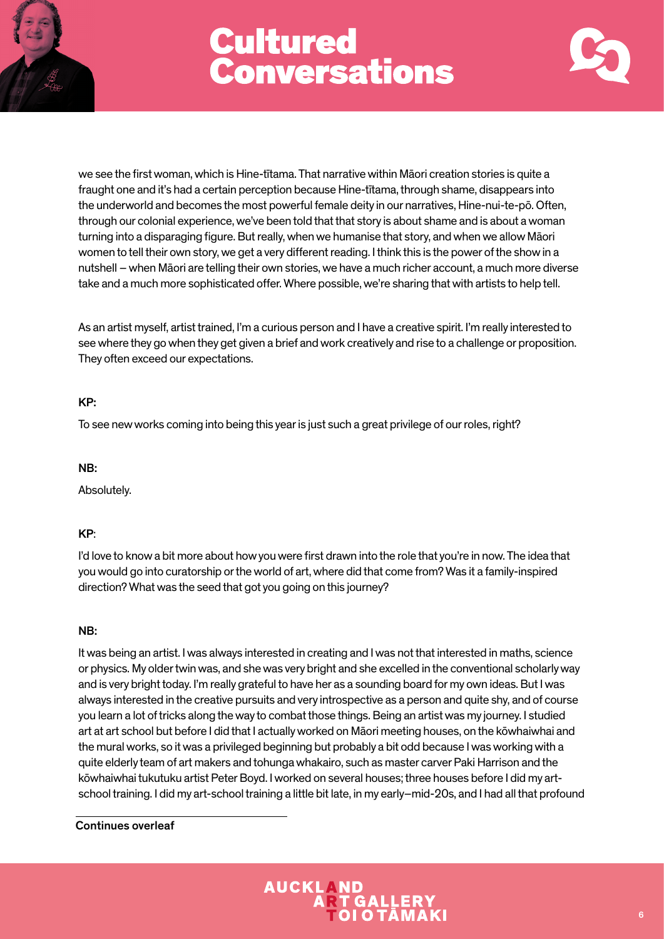



we see the first woman, which is Hine-tītama. That narrative within Māori creation stories is quite a fraught one and it's had a certain perception because Hine-tītama, through shame, disappears into the underworld and becomes the most powerful female deity in our narratives, Hine-nui-te-pō. Often, through our colonial experience, we've been told that that story is about shame and is about a woman turning into a disparaging figure. But really, when we humanise that story, and when we allow Māori women to tell their own story, we get a very different reading. I think this is the power of the show in a nutshell – when Māori are telling their own stories, we have a much richer account, a much more diverse take and a much more sophisticated offer. Where possible, we're sharing that with artists to help tell.

As an artist myself, artist trained, I'm a curious person and I have a creative spirit. I'm really interested to see where they go when they get given a brief and work creatively and rise to a challenge or proposition. They often exceed our expectations.

## KP:

To see new works coming into being this year is just such a great privilege of our roles, right?

NB:

Absolutely.

## KP:

I'd love to know a bit more about how you were first drawn into the role that you're in now. The idea that you would go into curatorship or the world of art, where did that come from? Was it a family-inspired direction? What was the seed that got you going on this journey?

## NB:

It was being an artist. I was always interested in creating and I was not that interested in maths, science or physics. My older twin was, and she was very bright and she excelled in the conventional scholarly way and is very bright today. I'm really grateful to have her as a sounding board for my own ideas. But I was always interested in the creative pursuits and very introspective as a person and quite shy, and of course you learn a lot of tricks along the way to combat those things. Being an artist was my journey. I studied art at art school but before I did that I actually worked on Māori meeting houses, on the kōwhaiwhai and the mural works, so it was a privileged beginning but probably a bit odd because I was working with a quite elderly team of art makers and tohunga whakairo, such as master carver Paki Harrison and the kōwhaiwhai tukutuku artist Peter Boyd. I worked on several houses; three houses before I did my artschool training. I did my art-school training a little bit late, in my early–mid-20s, and I had all that profound

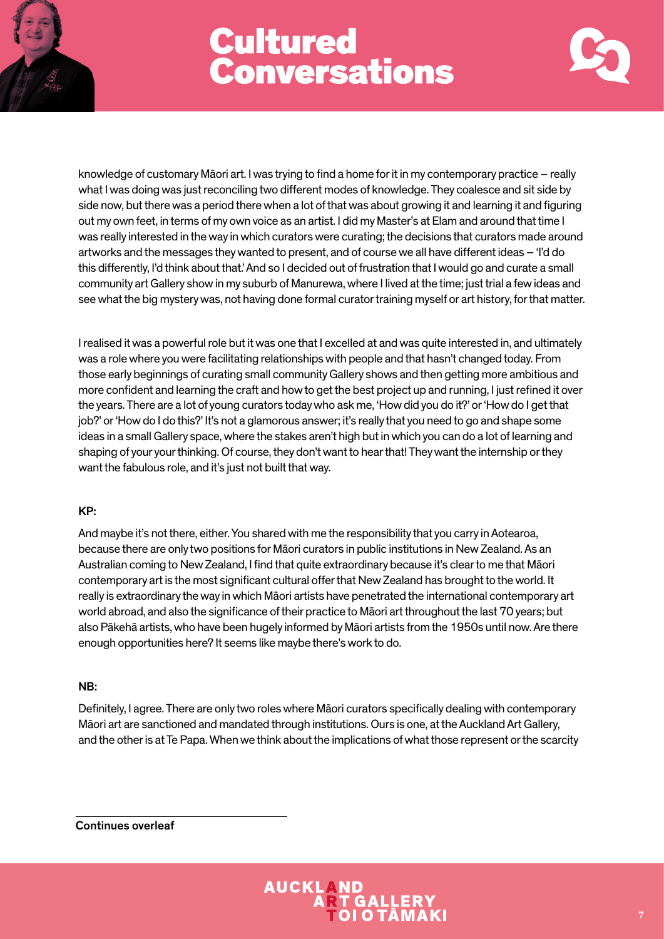



knowledge of customary Māori art. I was trying to find a home for it in my contemporary practice – really what I was doing was just reconciling two different modes of knowledge. They coalesce and sit side by side now, but there was a period there when a lot of that was about growing it and learning it and figuring out my own feet, in terms of my own voice as an artist. I did my Master's at Elam and around that time I was really interested in the way in which curators were curating; the decisions that curators made around artworks and the messages they wanted to present, and of course we all have different ideas – 'I'd do this differently, I'd think about that.' And so I decided out of frustration that I would go and curate a small community art Gallery show in my suburb of Manurewa, where I lived at the time; just trial a few ideas and see what the big mystery was, not having done formal curator training myself or art history, for that matter.

I realised it was a powerful role but it was one that I excelled at and was quite interested in, and ultimately was a role where you were facilitating relationships with people and that hasn't changed today. From those early beginnings of curating small community Gallery shows and then getting more ambitious and more confident and learning the craft and how to get the best project up and running, I just refined it over the years. There are a lot of young curators today who ask me, 'How did you do it?' or 'How do I get that iob?' or 'How do I do this?' It's not a glamorous answer; it's really that you need to go and shape some ideas in a small Gallery space, where the stakes aren't high but in which you can do a lot of learning and shaping of your your thinking. Of course, they don't want to hear that! They want the internship or they want the fabulous role, and it's just not built that way.

## KP:

And maybe it's not there, either. You shared with me the responsibility that you carry in Aotearoa, because there are only two positions for Māori curators in public institutions in New Zealand. As an Australian coming to New Zealand, I find that quite extraordinary because it's clear to me that Māori contemporary art is the most significant cultural offer that New Zealand has brought to the world. It really is extraordinary the way in which Māori artists have penetrated the international contemporary art world abroad, and also the significance of their practice to Māori art throughout the last 70 years; but also Pākehā artists, who have been hugely informed by Māori artists from the 1950s until now. Are there enough opportunities here? It seems like maybe there's work to do.

## NB:

Definitely, I agree. There are only two roles where Māori curators specifically dealing with contemporary Māori art are sanctioned and mandated through institutions. Ours is one, at the Auckland Art Gallery, and the other is at Te Papa. When we think about the implications of what those represent or the scarcity

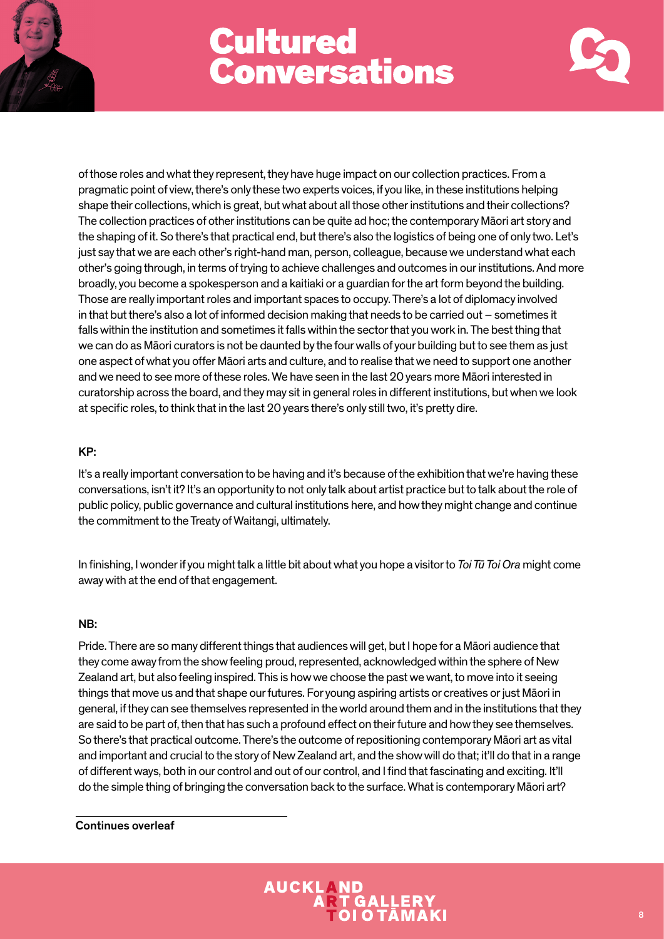



of those roles and what they represent, they have huge impact on our collection practices. From a pragmatic point of view, there's only these two experts voices, if you like, in these institutions helping shape their collections, which is great, but what about all those other institutions and their collections? The collection practices of other institutions can be quite ad hoc; the contemporary Māori art story and the shaping of it. So there's that practical end, but there's also the logistics of being one of only two. Let's just say that we are each other's right-hand man, person, colleague, because we understand what each other's going through, in terms of trying to achieve challenges and outcomes in our institutions. And more broadly, you become a spokesperson and a kaitiaki or a guardian for the art form beyond the building. Those are really important roles and important spaces to occupy. There's a lot of diplomacy involved in that but there's also a lot of informed decision making that needs to be carried out – sometimes it falls within the institution and sometimes it falls within the sector that you work in. The best thing that we can do as Māori curators is not be daunted by the four walls of your building but to see them as just one aspect of what you offer Māori arts and culture, and to realise that we need to support one another and we need to see more of these roles. We have seen in the last 20 years more Māori interested in curatorship across the board, and they may sit in general roles in different institutions, but when we look at specific roles, to think that in the last 20 years there's only still two, it's pretty dire.

## KP:

It's a really important conversation to be having and it's because of the exhibition that we're having these conversations, isn't it? It's an opportunity to not only talk about artist practice but to talk about the role of public policy, public governance and cultural institutions here, and how they might change and continue the commitment to the Treaty of Waitangi, ultimately.

In finishing, I wonder if you might talk a little bit about what you hope a visitor to *Toi Tū Toi Ora* might come away with at the end of that engagement.

## NB:

Pride. There are so many different things that audiences will get, but I hope for a Māori audience that they come away from the show feeling proud, represented, acknowledged within the sphere of New Zealand art, but also feeling inspired. This is how we choose the past we want, to move into it seeing things that move us and that shape our futures. For young aspiring artists or creatives or just Māori in general, if they can see themselves represented in the world around them and in the institutions that they are said to be part of, then that has such a profound effect on their future and how they see themselves. So there's that practical outcome. There's the outcome of repositioning contemporary Māori art as vital and important and crucial to the story of New Zealand art, and the show will do that; it'll do that in a range of different ways, both in our control and out of our control, and I find that fascinating and exciting. It'll do the simple thing of bringing the conversation back to the surface. What is contemporary Māori art?